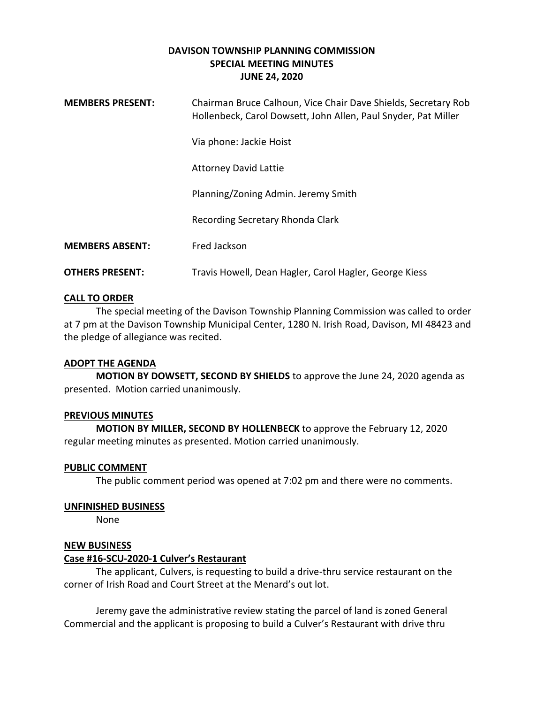## **DAVISON TOWNSHIP PLANNING COMMISSION SPECIAL MEETING MINUTES JUNE 24, 2020**

| <b>MEMBERS PRESENT:</b> | Chairman Bruce Calhoun, Vice Chair Dave Shields, Secretary Rob<br>Hollenbeck, Carol Dowsett, John Allen, Paul Snyder, Pat Miller |
|-------------------------|----------------------------------------------------------------------------------------------------------------------------------|
|                         | Via phone: Jackie Hoist                                                                                                          |
|                         | <b>Attorney David Lattie</b>                                                                                                     |
|                         | Planning/Zoning Admin. Jeremy Smith                                                                                              |
|                         | Recording Secretary Rhonda Clark                                                                                                 |
| <b>MEMBERS ABSENT:</b>  | Fred Jackson                                                                                                                     |
| <b>OTHERS PRESENT:</b>  | Travis Howell, Dean Hagler, Carol Hagler, George Kiess                                                                           |

## **CALL TO ORDER**

The special meeting of the Davison Township Planning Commission was called to order at 7 pm at the Davison Township Municipal Center, 1280 N. Irish Road, Davison, MI 48423 and the pledge of allegiance was recited.

#### **ADOPT THE AGENDA**

**MOTION BY DOWSETT, SECOND BY SHIELDS** to approve the June 24, 2020 agenda as presented. Motion carried unanimously.

#### **PREVIOUS MINUTES**

**MOTION BY MILLER, SECOND BY HOLLENBECK** to approve the February 12, 2020 regular meeting minutes as presented. Motion carried unanimously.

#### **PUBLIC COMMENT**

The public comment period was opened at 7:02 pm and there were no comments.

### **UNFINISHED BUSINESS**

None

#### **NEW BUSINESS**

#### **Case #16-SCU-2020-1 Culver's Restaurant**

The applicant, Culvers, is requesting to build a drive-thru service restaurant on the corner of Irish Road and Court Street at the Menard's out lot.

Jeremy gave the administrative review stating the parcel of land is zoned General Commercial and the applicant is proposing to build a Culver's Restaurant with drive thru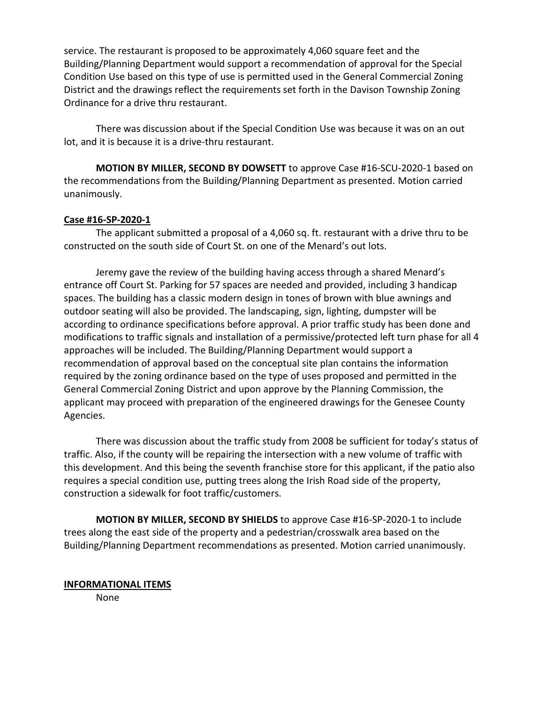service. The restaurant is proposed to be approximately 4,060 square feet and the Building/Planning Department would support a recommendation of approval for the Special Condition Use based on this type of use is permitted used in the General Commercial Zoning District and the drawings reflect the requirements set forth in the Davison Township Zoning Ordinance for a drive thru restaurant.

There was discussion about if the Special Condition Use was because it was on an out lot, and it is because it is a drive-thru restaurant.

**MOTION BY MILLER, SECOND BY DOWSETT** to approve Case #16-SCU-2020-1 based on the recommendations from the Building/Planning Department as presented. Motion carried unanimously.

## **Case #16-SP-2020-1**

The applicant submitted a proposal of a 4,060 sq. ft. restaurant with a drive thru to be constructed on the south side of Court St. on one of the Menard's out lots.

Jeremy gave the review of the building having access through a shared Menard's entrance off Court St. Parking for 57 spaces are needed and provided, including 3 handicap spaces. The building has a classic modern design in tones of brown with blue awnings and outdoor seating will also be provided. The landscaping, sign, lighting, dumpster will be according to ordinance specifications before approval. A prior traffic study has been done and modifications to traffic signals and installation of a permissive/protected left turn phase for all 4 approaches will be included. The Building/Planning Department would support a recommendation of approval based on the conceptual site plan contains the information required by the zoning ordinance based on the type of uses proposed and permitted in the General Commercial Zoning District and upon approve by the Planning Commission, the applicant may proceed with preparation of the engineered drawings for the Genesee County Agencies.

There was discussion about the traffic study from 2008 be sufficient for today's status of traffic. Also, if the county will be repairing the intersection with a new volume of traffic with this development. And this being the seventh franchise store for this applicant, if the patio also requires a special condition use, putting trees along the Irish Road side of the property, construction a sidewalk for foot traffic/customers.

**MOTION BY MILLER, SECOND BY SHIELDS** to approve Case #16-SP-2020-1 to include trees along the east side of the property and a pedestrian/crosswalk area based on the Building/Planning Department recommendations as presented. Motion carried unanimously.

#### **INFORMATIONAL ITEMS**

None